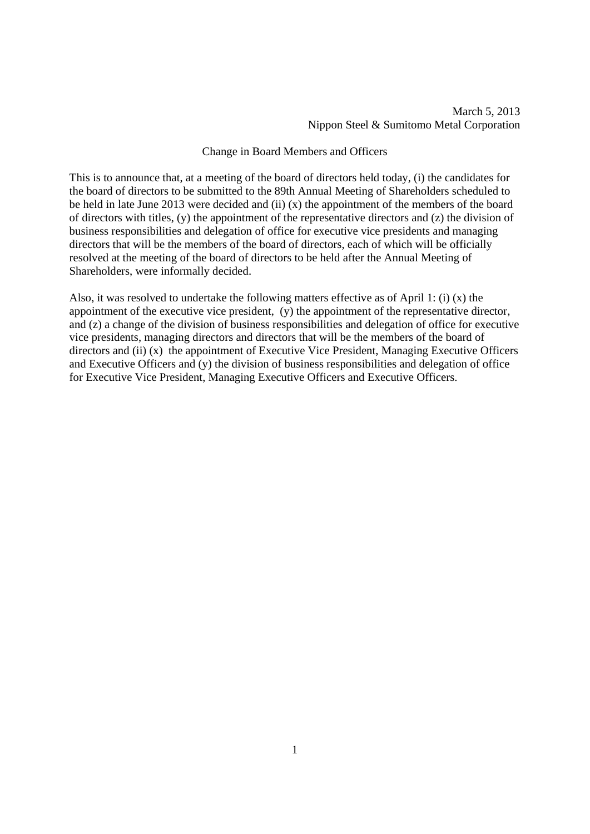### Change in Board Members and Officers

This is to announce that, at a meeting of the board of directors held today, (i) the candidates for the board of directors to be submitted to the 89th Annual Meeting of Shareholders scheduled to be held in late June 2013 were decided and (ii) (x) the appointment of the members of the board of directors with titles, (y) the appointment of the representative directors and (z) the division of business responsibilities and delegation of office for executive vice presidents and managing directors that will be the members of the board of directors, each of which will be officially resolved at the meeting of the board of directors to be held after the Annual Meeting of Shareholders, were informally decided.

Also, it was resolved to undertake the following matters effective as of April 1: (i) (x) the appointment of the executive vice president, (y) the appointment of the representative director, and (z) a change of the division of business responsibilities and delegation of office for executive vice presidents, managing directors and directors that will be the members of the board of directors and (ii) (x) the appointment of Executive Vice President, Managing Executive Officers and Executive Officers and (y) the division of business responsibilities and delegation of office for Executive Vice President, Managing Executive Officers and Executive Officers.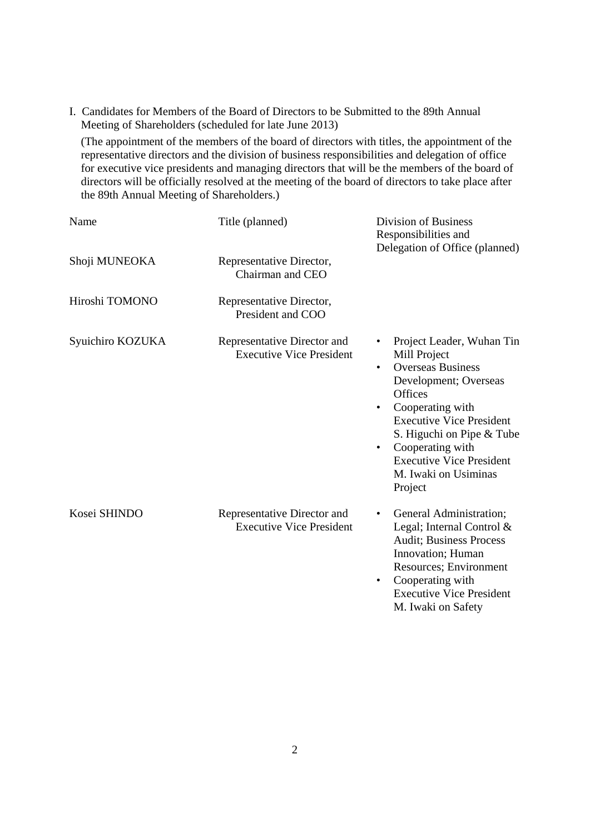I. Candidates for Members of the Board of Directors to be Submitted to the 89th Annual Meeting of Shareholders (scheduled for late June 2013)

(The appointment of the members of the board of directors with titles, the appointment of the representative directors and the division of business responsibilities and delegation of office for executive vice presidents and managing directors that will be the members of the board of directors will be officially resolved at the meeting of the board of directors to take place after the 89th Annual Meeting of Shareholders.)

| Name             | Title (planned)                                                | <b>Division of Business</b><br>Responsibilities and<br>Delegation of Office (planned)                                                                                                                                                                                                                                          |
|------------------|----------------------------------------------------------------|--------------------------------------------------------------------------------------------------------------------------------------------------------------------------------------------------------------------------------------------------------------------------------------------------------------------------------|
| Shoji MUNEOKA    | Representative Director,<br>Chairman and CEO                   |                                                                                                                                                                                                                                                                                                                                |
| Hiroshi TOMONO   | Representative Director,<br>President and COO                  |                                                                                                                                                                                                                                                                                                                                |
| Syuichiro KOZUKA | Representative Director and<br><b>Executive Vice President</b> | Project Leader, Wuhan Tin<br>Mill Project<br><b>Overseas Business</b><br>$\bullet$<br>Development; Overseas<br>Offices<br>Cooperating with<br>$\bullet$<br><b>Executive Vice President</b><br>S. Higuchi on Pipe & Tube<br>Cooperating with<br>$\bullet$<br><b>Executive Vice President</b><br>M. Iwaki on Usiminas<br>Project |
| Kosei SHINDO     | Representative Director and<br><b>Executive Vice President</b> | General Administration;<br>$\bullet$<br>Legal; Internal Control $\&$<br><b>Audit</b> ; Business Process<br>Innovation; Human<br>Resources; Environment<br>Cooperating with<br>٠<br><b>Executive Vice President</b><br>M. Iwaki on Safety                                                                                       |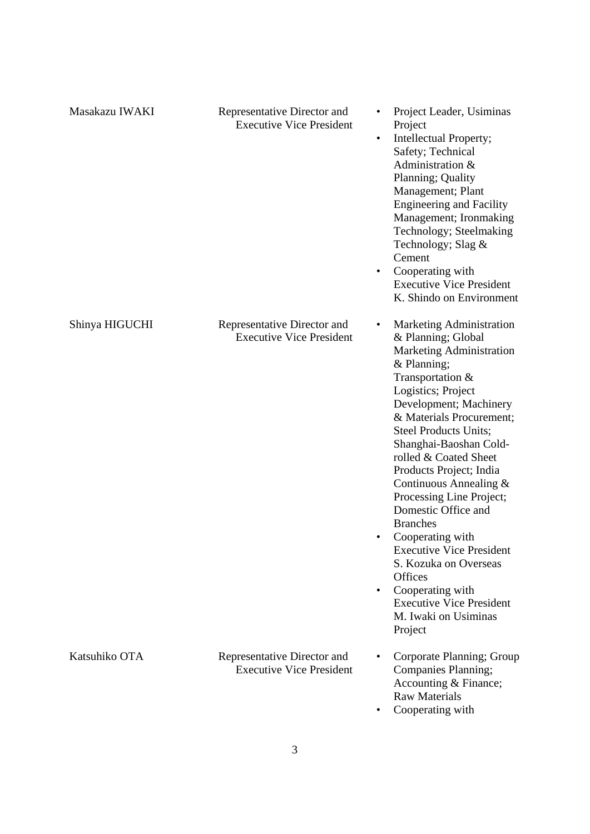| Masakazu IWAKI | Representative Director and<br><b>Executive Vice President</b> | Project Leader, Usiminas<br>Project<br>Intellectual Property;<br>$\bullet$<br>Safety; Technical<br>Administration &<br>Planning; Quality<br>Management; Plant<br><b>Engineering and Facility</b><br>Management; Ironmaking<br>Technology; Steelmaking<br>Technology; Slag &<br>Cement<br>Cooperating with<br>٠<br><b>Executive Vice President</b><br>K. Shindo on Environment                                                                                                                                                                                                                                  |
|----------------|----------------------------------------------------------------|----------------------------------------------------------------------------------------------------------------------------------------------------------------------------------------------------------------------------------------------------------------------------------------------------------------------------------------------------------------------------------------------------------------------------------------------------------------------------------------------------------------------------------------------------------------------------------------------------------------|
| Shinya HIGUCHI | Representative Director and<br><b>Executive Vice President</b> | Marketing Administration<br>$\bullet$<br>& Planning; Global<br>Marketing Administration<br>& Planning;<br>Transportation &<br>Logistics; Project<br>Development; Machinery<br>& Materials Procurement;<br><b>Steel Products Units;</b><br>Shanghai-Baoshan Cold-<br>rolled & Coated Sheet<br>Products Project; India<br>Continuous Annealing &<br>Processing Line Project;<br>Domestic Office and<br><b>Branches</b><br>Cooperating with<br><b>Executive Vice President</b><br>S. Kozuka on Overseas<br>Offices<br>Cooperating with<br>٠<br><b>Executive Vice President</b><br>M. Iwaki on Usiminas<br>Project |
| Katsuhiko OTA  | Representative Director and<br><b>Executive Vice President</b> | Corporate Planning; Group<br>Companies Planning;<br>Accounting & Finance;<br><b>Raw Materials</b><br>Cooperating with                                                                                                                                                                                                                                                                                                                                                                                                                                                                                          |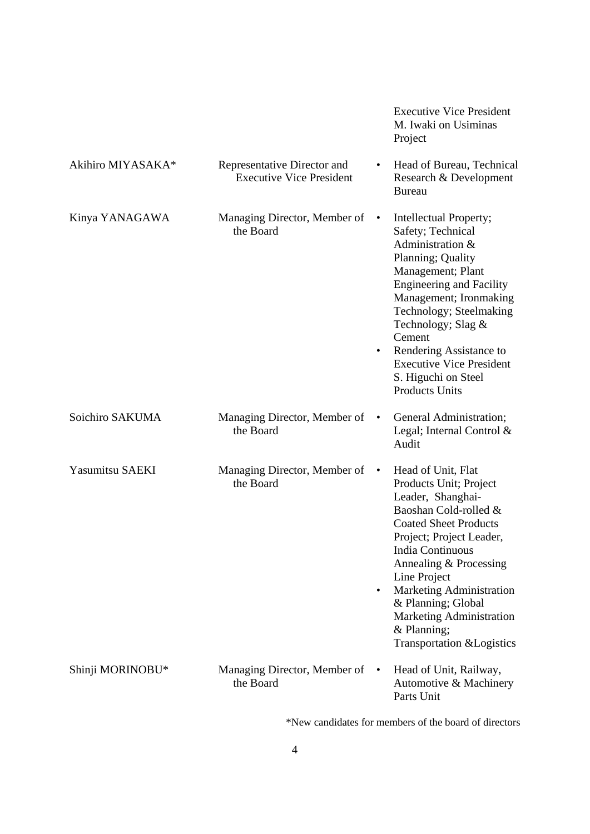|                        |                                                                |                        | <b>Executive Vice President</b><br>M. Iwaki on Usiminas<br>Project                                                                                                                                                                                                                                                                                                |
|------------------------|----------------------------------------------------------------|------------------------|-------------------------------------------------------------------------------------------------------------------------------------------------------------------------------------------------------------------------------------------------------------------------------------------------------------------------------------------------------------------|
| Akihiro MIYASAKA*      | Representative Director and<br><b>Executive Vice President</b> |                        | Head of Bureau, Technical<br>Research & Development<br><b>Bureau</b>                                                                                                                                                                                                                                                                                              |
| Kinya YANAGAWA         | Managing Director, Member of<br>the Board                      | $\bullet$<br>٠         | Intellectual Property;<br>Safety; Technical<br>Administration &<br>Planning; Quality<br>Management; Plant<br><b>Engineering and Facility</b><br>Management; Ironmaking<br>Technology; Steelmaking<br>Technology; Slag $&$<br>Cement<br>Rendering Assistance to<br><b>Executive Vice President</b><br>S. Higuchi on Steel<br><b>Products Units</b>                 |
| Soichiro SAKUMA        | Managing Director, Member of<br>the Board                      | $\bullet$              | General Administration;<br>Legal; Internal Control $\&$<br>Audit                                                                                                                                                                                                                                                                                                  |
| <b>Yasumitsu SAEKI</b> | Managing Director, Member of<br>the Board                      | $\bullet$<br>$\bullet$ | Head of Unit, Flat<br>Products Unit; Project<br>Leader, Shanghai-<br>Baoshan Cold-rolled &<br><b>Coated Sheet Products</b><br>Project; Project Leader,<br>India Continuous<br>Annealing & Processing<br>Line Project<br><b>Marketing Administration</b><br>& Planning; Global<br>Marketing Administration<br>& Planning;<br><b>Transportation &amp; Logistics</b> |
| Shinji MORINOBU*       | Managing Director, Member of<br>the Board                      | $\bullet$              | Head of Unit, Railway,<br>Automotive & Machinery<br>Parts Unit                                                                                                                                                                                                                                                                                                    |

\*New candidates for members of the board of directors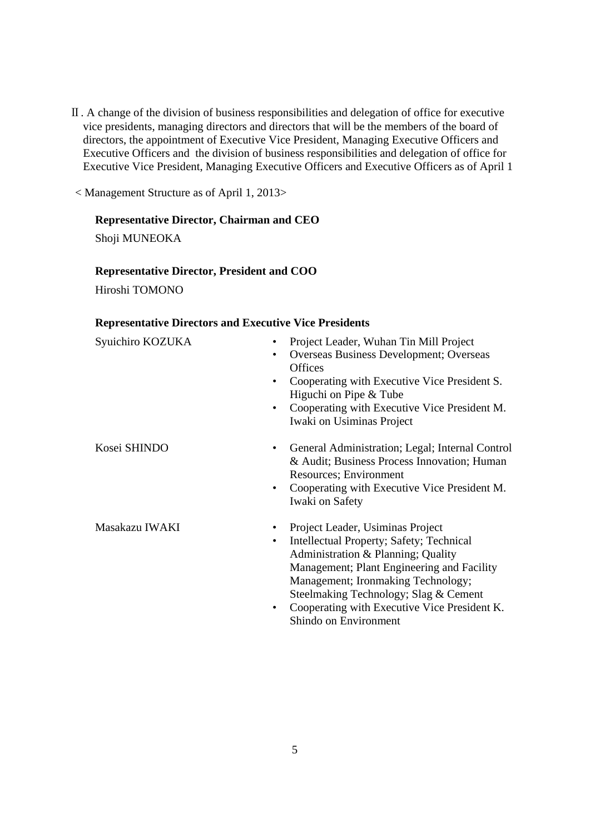Ⅱ. A change of the division of business responsibilities and delegation of office for executive vice presidents, managing directors and directors that will be the members of the board of directors, the appointment of Executive Vice President, Managing Executive Officers and Executive Officers and the division of business responsibilities and delegation of office for Executive Vice President, Managing Executive Officers and Executive Officers as of April 1

< Management Structure as of April 1, 2013>

## **Representative Director, Chairman and CEO**

Shoji MUNEOKA

## **Representative Director, President and COO**

Hiroshi TOMONO

#### **Representative Directors and Executive Vice Presidents**

| Syuichiro KOZUKA<br>$\bullet$         | Project Leader, Wuhan Tin Mill Project<br><b>Overseas Business Development; Overseas</b><br><b>Offices</b><br>Cooperating with Executive Vice President S.<br>Higuchi on Pipe & Tube<br>Cooperating with Executive Vice President M.<br>Iwaki on Usiminas Project                                                        |
|---------------------------------------|--------------------------------------------------------------------------------------------------------------------------------------------------------------------------------------------------------------------------------------------------------------------------------------------------------------------------|
| Kosei SHINDO<br>٠                     | General Administration; Legal; Internal Control<br>& Audit; Business Process Innovation; Human<br>Resources; Environment<br>Cooperating with Executive Vice President M.<br>Iwaki on Safety                                                                                                                              |
| Masakazu IWAKI<br>٠<br>$\bullet$<br>٠ | Project Leader, Usiminas Project<br>Intellectual Property; Safety; Technical<br>Administration & Planning; Quality<br>Management; Plant Engineering and Facility<br>Management; Ironmaking Technology;<br>Steelmaking Technology; Slag & Cement<br>Cooperating with Executive Vice President K.<br>Shindo on Environment |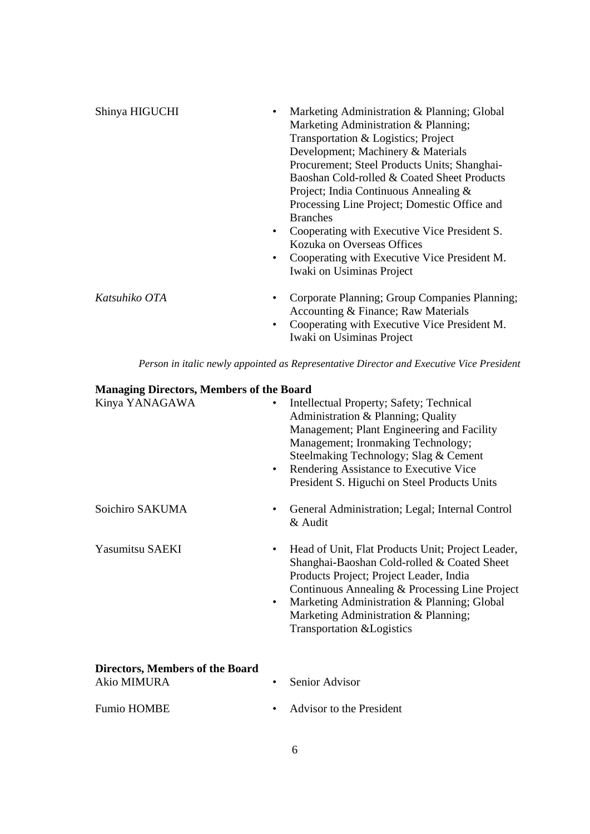| Shinya HIGUCHI | Marketing Administration & Planning; Global<br>$\bullet$<br>Marketing Administration & Planning;<br>Transportation & Logistics; Project<br>Development; Machinery & Materials<br>Procurement; Steel Products Units; Shanghai-<br>Baoshan Cold-rolled & Coated Sheet Products<br>Project; India Continuous Annealing &<br>Processing Line Project; Domestic Office and<br><b>Branches</b><br>Cooperating with Executive Vice President S.<br>Kozuka on Overseas Offices<br>$\bullet$ |
|----------------|-------------------------------------------------------------------------------------------------------------------------------------------------------------------------------------------------------------------------------------------------------------------------------------------------------------------------------------------------------------------------------------------------------------------------------------------------------------------------------------|
|                | Cooperating with Executive Vice President M.<br>Iwaki on Usiminas Project                                                                                                                                                                                                                                                                                                                                                                                                           |
| Katsuhiko OTA  | Corporate Planning; Group Companies Planning;<br>$\bullet$<br>Accounting & Finance; Raw Materials                                                                                                                                                                                                                                                                                                                                                                                   |

Iwaki on Usiminas Project

• Cooperating with Executive Vice President M.

 *Person in italic newly appointed as Representative Director and Executive Vice President* 

| <b>Managing Directors, Members of the Board</b> |                        |                                                                                                                                                                                                                                                                                                                               |
|-------------------------------------------------|------------------------|-------------------------------------------------------------------------------------------------------------------------------------------------------------------------------------------------------------------------------------------------------------------------------------------------------------------------------|
| Kinya YANAGAWA                                  |                        | Intellectual Property; Safety; Technical<br>Administration & Planning; Quality<br>Management; Plant Engineering and Facility<br>Management; Ironmaking Technology;<br>Steelmaking Technology; Slag & Cement<br>Rendering Assistance to Executive Vice<br>President S. Higuchi on Steel Products Units                         |
| Soichiro SAKUMA                                 |                        | General Administration; Legal; Internal Control<br>& Audit                                                                                                                                                                                                                                                                    |
| Yasumitsu SAEKI                                 | $\bullet$<br>$\bullet$ | Head of Unit, Flat Products Unit; Project Leader,<br>Shanghai-Baoshan Cold-rolled & Coated Sheet<br>Products Project; Project Leader, India<br>Continuous Annealing & Processing Line Project<br>Marketing Administration & Planning; Global<br>Marketing Administration & Planning;<br><b>Transportation &amp; Logistics</b> |
| Directors, Members of the Board<br>Akio MIMURA  |                        | Senior Advisor                                                                                                                                                                                                                                                                                                                |
| <b>Fumio HOMBE</b>                              |                        | Advisor to the President                                                                                                                                                                                                                                                                                                      |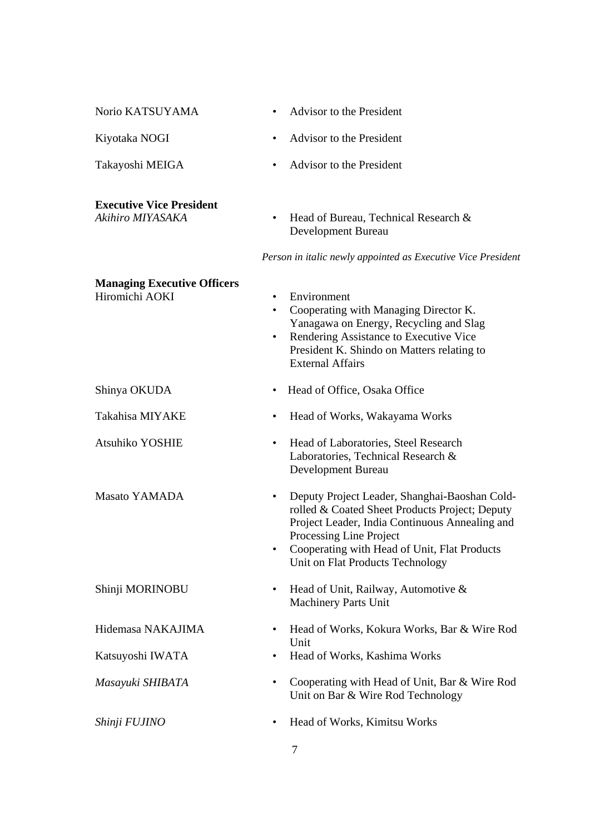| Norio KATSUYAMA                                      | Advisor to the President<br>$\bullet$                                                                                                                                                                                                                                 |
|------------------------------------------------------|-----------------------------------------------------------------------------------------------------------------------------------------------------------------------------------------------------------------------------------------------------------------------|
| Kiyotaka NOGI                                        | Advisor to the President<br>$\bullet$                                                                                                                                                                                                                                 |
| Takayoshi MEIGA                                      | Advisor to the President<br>$\bullet$                                                                                                                                                                                                                                 |
| <b>Executive Vice President</b><br>Akihiro MIYASAKA  | Head of Bureau, Technical Research &<br>$\bullet$<br>Development Bureau                                                                                                                                                                                               |
|                                                      | Person in italic newly appointed as Executive Vice President                                                                                                                                                                                                          |
| <b>Managing Executive Officers</b><br>Hiromichi AOKI | Environment<br>$\bullet$<br>Cooperating with Managing Director K.<br>$\bullet$<br>Yanagawa on Energy, Recycling and Slag<br>Rendering Assistance to Executive Vice<br>$\bullet$<br>President K. Shindo on Matters relating to<br><b>External Affairs</b>              |
| Shinya OKUDA                                         | Head of Office, Osaka Office<br>٠                                                                                                                                                                                                                                     |
| Takahisa MIYAKE                                      | Head of Works, Wakayama Works<br>٠                                                                                                                                                                                                                                    |
| <b>Atsuhiko YOSHIE</b>                               | Head of Laboratories, Steel Research<br>$\bullet$<br>Laboratories, Technical Research &<br>Development Bureau                                                                                                                                                         |
| <b>Masato YAMADA</b>                                 | Deputy Project Leader, Shanghai-Baoshan Cold-<br>٠<br>rolled & Coated Sheet Products Project; Deputy<br>Project Leader, India Continuous Annealing and<br>Processing Line Project<br>Cooperating with Head of Unit, Flat Products<br>Unit on Flat Products Technology |
| Shinji MORINOBU                                      | Head of Unit, Railway, Automotive &<br>٠<br>Machinery Parts Unit                                                                                                                                                                                                      |
| Hidemasa NAKAJIMA                                    | Head of Works, Kokura Works, Bar & Wire Rod<br>$\bullet$                                                                                                                                                                                                              |
| Katsuyoshi IWATA                                     | Unit<br>Head of Works, Kashima Works<br>٠                                                                                                                                                                                                                             |
| Masayuki SHIBATA                                     | Cooperating with Head of Unit, Bar & Wire Rod<br>٠<br>Unit on Bar & Wire Rod Technology                                                                                                                                                                               |
| Shinji FUJINO                                        | Head of Works, Kimitsu Works<br>٠                                                                                                                                                                                                                                     |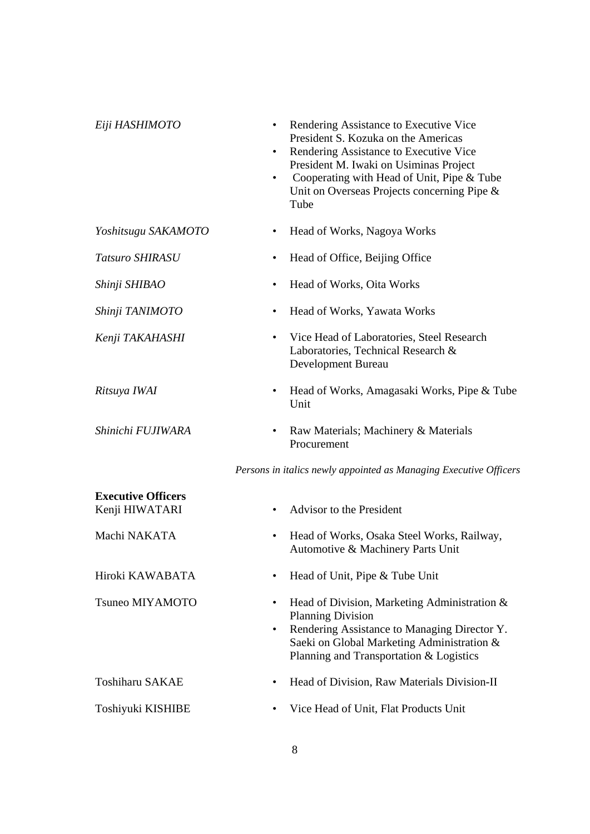| Eiji HASHIMOTO                              | Rendering Assistance to Executive Vice<br>$\bullet$<br>President S. Kozuka on the Americas<br>Rendering Assistance to Executive Vice<br>٠<br>President M. Iwaki on Usiminas Project<br>Cooperating with Head of Unit, Pipe & Tube<br>٠<br>Unit on Overseas Projects concerning Pipe &<br>Tube |
|---------------------------------------------|-----------------------------------------------------------------------------------------------------------------------------------------------------------------------------------------------------------------------------------------------------------------------------------------------|
| Yoshitsugu SAKAMOTO                         | Head of Works, Nagoya Works<br>٠                                                                                                                                                                                                                                                              |
| <b>Tatsuro SHIRASU</b>                      | Head of Office, Beijing Office<br>٠                                                                                                                                                                                                                                                           |
| Shinji SHIBAO                               | Head of Works, Oita Works<br>٠                                                                                                                                                                                                                                                                |
| Shinji TANIMOTO                             | Head of Works, Yawata Works<br>٠                                                                                                                                                                                                                                                              |
| Kenji TAKAHASHI                             | Vice Head of Laboratories, Steel Research<br>٠<br>Laboratories, Technical Research &<br>Development Bureau                                                                                                                                                                                    |
| Ritsuya IWAI                                | Head of Works, Amagasaki Works, Pipe & Tube<br>$\bullet$<br>Unit                                                                                                                                                                                                                              |
| Shinichi FUJIWARA                           | Raw Materials; Machinery & Materials<br>٠<br>Procurement                                                                                                                                                                                                                                      |
|                                             | Persons in italics newly appointed as Managing Executive Officers                                                                                                                                                                                                                             |
| <b>Executive Officers</b><br>Kenji HIWATARI | Advisor to the President<br>$\bullet$                                                                                                                                                                                                                                                         |
| Machi NAKATA                                | Head of Works, Osaka Steel Works, Railway,<br>٠<br>Automotive & Machinery Parts Unit                                                                                                                                                                                                          |
| Hiroki KAWABATA                             | Head of Unit, Pipe & Tube Unit                                                                                                                                                                                                                                                                |
| Tsuneo MIYAMOTO                             | Head of Division, Marketing Administration &<br>٠<br><b>Planning Division</b><br>Rendering Assistance to Managing Director Y.<br>٠<br>Saeki on Global Marketing Administration &<br>Planning and Transportation & Logistics                                                                   |
| <b>Toshiharu SAKAE</b>                      | Head of Division, Raw Materials Division-II<br>٠                                                                                                                                                                                                                                              |
| Toshiyuki KISHIBE                           | Vice Head of Unit, Flat Products Unit                                                                                                                                                                                                                                                         |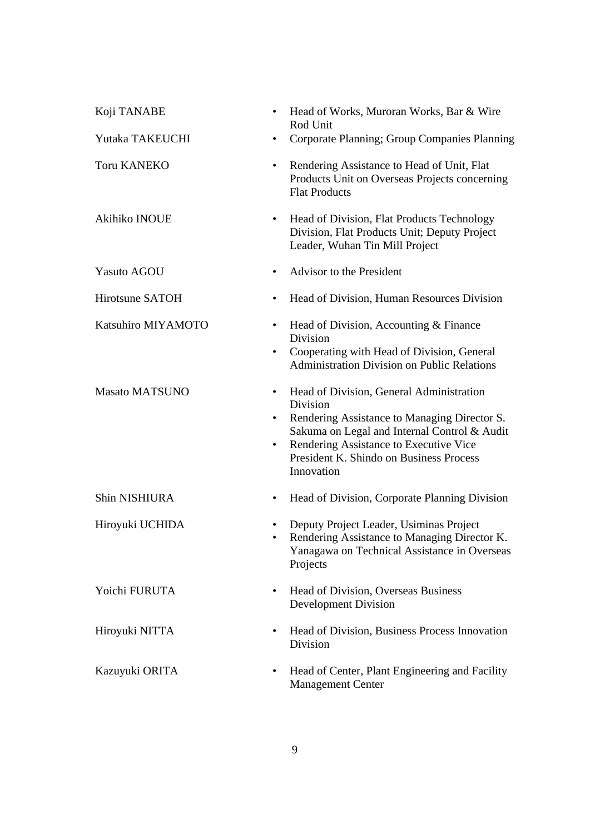| Koji TANABE           | Head of Works, Muroran Works, Bar & Wire<br>$\bullet$<br>Rod Unit                                                                                                                                                                                                                      |
|-----------------------|----------------------------------------------------------------------------------------------------------------------------------------------------------------------------------------------------------------------------------------------------------------------------------------|
| Yutaka TAKEUCHI       | Corporate Planning; Group Companies Planning<br>٠                                                                                                                                                                                                                                      |
| <b>Toru KANEKO</b>    | Rendering Assistance to Head of Unit, Flat<br>$\bullet$<br>Products Unit on Overseas Projects concerning<br><b>Flat Products</b>                                                                                                                                                       |
| Akihiko INOUE         | Head of Division, Flat Products Technology<br>$\bullet$<br>Division, Flat Products Unit; Deputy Project<br>Leader, Wuhan Tin Mill Project                                                                                                                                              |
| <b>Yasuto AGOU</b>    | Advisor to the President<br>$\bullet$                                                                                                                                                                                                                                                  |
| Hirotsune SATOH       | Head of Division, Human Resources Division<br>$\bullet$                                                                                                                                                                                                                                |
| Katsuhiro MIYAMOTO    | Head of Division, Accounting & Finance<br>$\bullet$<br>Division<br>Cooperating with Head of Division, General<br>$\bullet$<br><b>Administration Division on Public Relations</b>                                                                                                       |
| <b>Masato MATSUNO</b> | Head of Division, General Administration<br>$\bullet$<br>Division<br>Rendering Assistance to Managing Director S.<br>٠<br>Sakuma on Legal and Internal Control & Audit<br>Rendering Assistance to Executive Vice<br>$\bullet$<br>President K. Shindo on Business Process<br>Innovation |
| Shin NISHIURA         | Head of Division, Corporate Planning Division<br>$\bullet$                                                                                                                                                                                                                             |
| Hiroyuki UCHIDA       | Deputy Project Leader, Usiminas Project<br>Rendering Assistance to Managing Director K.<br>Yanagawa on Technical Assistance in Overseas<br>Projects                                                                                                                                    |
| Yoichi FURUTA         | Head of Division, Overseas Business<br>$\bullet$<br><b>Development Division</b>                                                                                                                                                                                                        |
| Hiroyuki NITTA        | Head of Division, Business Process Innovation<br>$\bullet$<br>Division                                                                                                                                                                                                                 |
| Kazuyuki ORITA        | Head of Center, Plant Engineering and Facility<br>$\bullet$<br><b>Management Center</b>                                                                                                                                                                                                |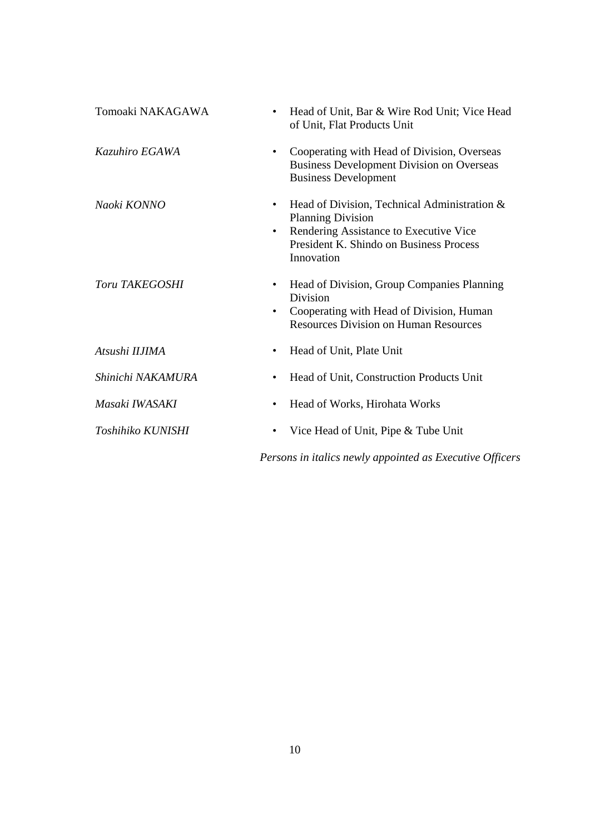| Tomoaki NAKAGAWA  |        | Head of Unit, Bar & Wire Rod Unit; Vice Head<br>of Unit, Flat Products Unit                                                                                                    |
|-------------------|--------|--------------------------------------------------------------------------------------------------------------------------------------------------------------------------------|
| Kazuhiro EGAWA    | ٠      | Cooperating with Head of Division, Overseas<br><b>Business Development Division on Overseas</b><br><b>Business Development</b>                                                 |
| Naoki KONNO       | ٠<br>٠ | Head of Division, Technical Administration $\&$<br><b>Planning Division</b><br>Rendering Assistance to Executive Vice<br>President K. Shindo on Business Process<br>Innovation |
| Toru TAKEGOSHI    | ٠<br>٠ | Head of Division, Group Companies Planning<br>Division<br>Cooperating with Head of Division, Human<br><b>Resources Division on Human Resources</b>                             |
| Atsushi IIJIMA    |        | Head of Unit, Plate Unit                                                                                                                                                       |
| Shinichi NAKAMURA |        | Head of Unit, Construction Products Unit                                                                                                                                       |
| Masaki IWASAKI    | ٠      | Head of Works, Hirohata Works                                                                                                                                                  |
| Toshihiko KUNISHI | ٠      | Vice Head of Unit, Pipe & Tube Unit                                                                                                                                            |

*Persons in italics newly appointed as Executive Officers*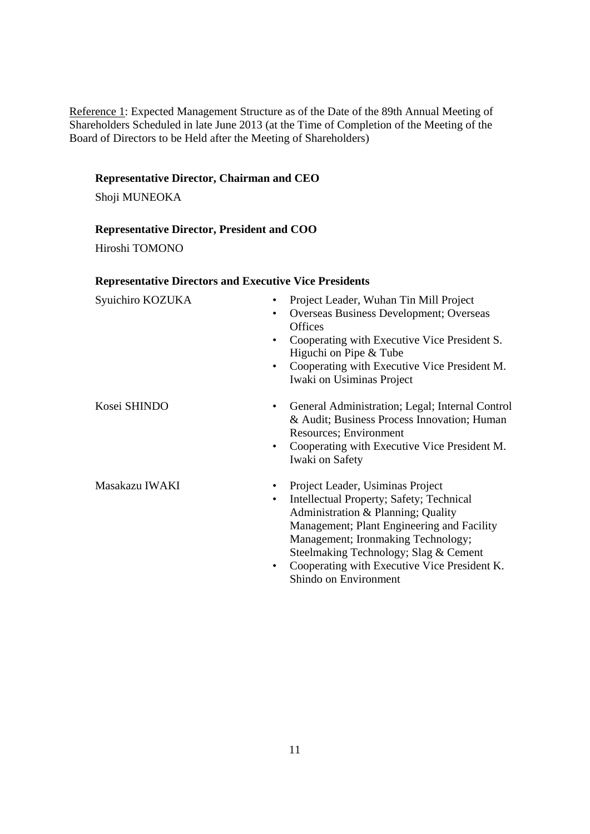Reference 1: Expected Management Structure as of the Date of the 89th Annual Meeting of Shareholders Scheduled in late June 2013 (at the Time of Completion of the Meeting of the Board of Directors to be Held after the Meeting of Shareholders)

### **Representative Director, Chairman and CEO**

Shoji MUNEOKA

## **Representative Director, President and COO**

Hiroshi TOMONO

### **Representative Directors and Executive Vice Presidents**

| Syuichiro KOZUKA | Project Leader, Wuhan Tin Mill Project<br><b>Overseas Business Development; Overseas</b><br>Offices<br>Cooperating with Executive Vice President S.<br>٠<br>Higuchi on Pipe & Tube<br>Cooperating with Executive Vice President M.<br>٠<br>Iwaki on Usiminas Project                                                               |
|------------------|------------------------------------------------------------------------------------------------------------------------------------------------------------------------------------------------------------------------------------------------------------------------------------------------------------------------------------|
| Kosei SHINDO     | General Administration; Legal; Internal Control<br>& Audit; Business Process Innovation; Human<br>Resources; Environment<br>Cooperating with Executive Vice President M.<br>٠<br>Iwaki on Safety                                                                                                                                   |
| Masakazu IWAKI   | Project Leader, Usiminas Project<br>Intellectual Property; Safety; Technical<br>٠<br>Administration & Planning; Quality<br>Management; Plant Engineering and Facility<br>Management; Ironmaking Technology;<br>Steelmaking Technology; Slag & Cement<br>Cooperating with Executive Vice President K.<br>٠<br>Shindo on Environment |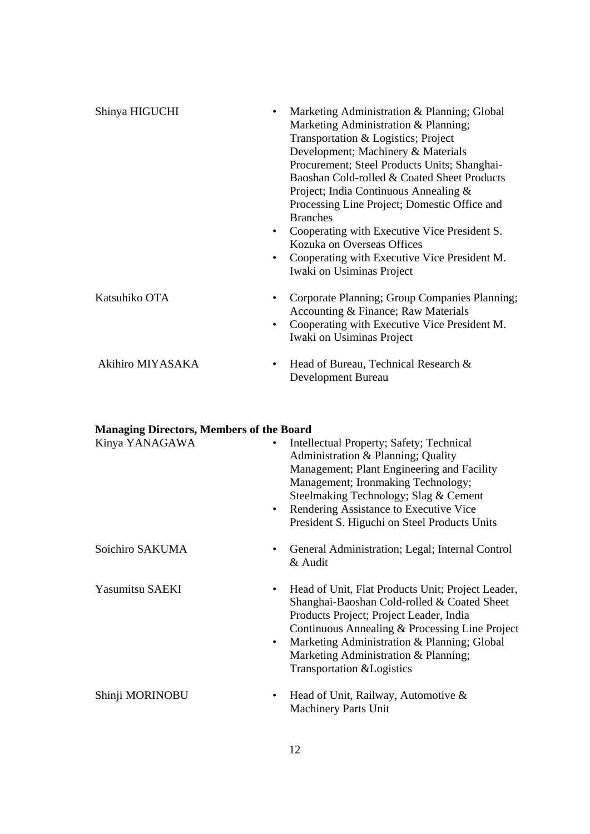| Shinya HIGUCHI   | Marketing Administration & Planning; Global<br>Marketing Administration & Planning;<br>Transportation & Logistics; Project<br>Development; Machinery & Materials<br>Procurement; Steel Products Units; Shanghai-<br>Baoshan Cold-rolled & Coated Sheet Products<br>Project; India Continuous Annealing &<br>Processing Line Project; Domestic Office and<br><b>Branches</b><br>Cooperating with Executive Vice President S.<br>$\bullet$<br>Kozuka on Overseas Offices<br>Cooperating with Executive Vice President M.<br>$\bullet$<br>Iwaki on Usiminas Project |
|------------------|------------------------------------------------------------------------------------------------------------------------------------------------------------------------------------------------------------------------------------------------------------------------------------------------------------------------------------------------------------------------------------------------------------------------------------------------------------------------------------------------------------------------------------------------------------------|
| Katsuhiko OTA    | Corporate Planning; Group Companies Planning;<br>Accounting & Finance; Raw Materials<br>Cooperating with Executive Vice President M.<br>Iwaki on Usiminas Project                                                                                                                                                                                                                                                                                                                                                                                                |
| Akihiro MIYASAKA | Head of Bureau, Technical Research &<br>٠<br>Development Bureau                                                                                                                                                                                                                                                                                                                                                                                                                                                                                                  |

# **Managing Directors, Members of the Board**

| Kinya YANAGAWA         | Intellectual Property; Safety; Technical<br>$\bullet$<br>Administration & Planning; Quality<br>Management; Plant Engineering and Facility<br>Management; Ironmaking Technology;<br>Steelmaking Technology; Slag & Cement<br>Rendering Assistance to Executive Vice<br>$\bullet$<br>President S. Higuchi on Steel Products Units              |
|------------------------|----------------------------------------------------------------------------------------------------------------------------------------------------------------------------------------------------------------------------------------------------------------------------------------------------------------------------------------------|
| Soichiro SAKUMA        | General Administration; Legal; Internal Control<br>& Audit                                                                                                                                                                                                                                                                                   |
| <b>Yasumitsu SAEKI</b> | Head of Unit, Flat Products Unit; Project Leader,<br>$\bullet$<br>Shanghai-Baoshan Cold-rolled & Coated Sheet<br>Products Project; Project Leader, India<br>Continuous Annealing & Processing Line Project<br>Marketing Administration & Planning; Global<br>$\bullet$<br>Marketing Administration & Planning;<br>Transportation & Logistics |
| Shinji MORINOBU        | Head of Unit, Railway, Automotive &<br>$\bullet$<br><b>Machinery Parts Unit</b>                                                                                                                                                                                                                                                              |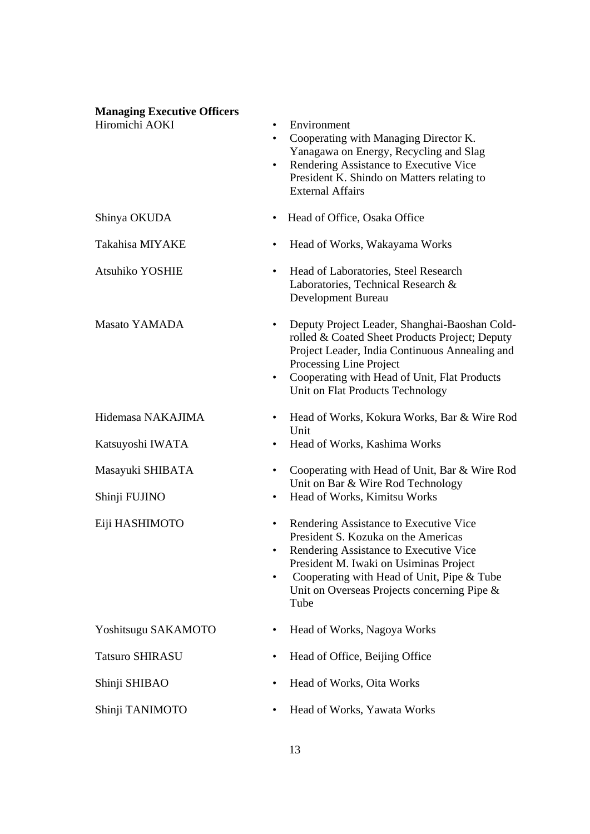| <b>Managing Executive Officers</b><br>Hiromichi AOKI | Environment<br>$\bullet$<br>Cooperating with Managing Director K.<br>$\bullet$<br>Yanagawa on Energy, Recycling and Slag<br>Rendering Assistance to Executive Vice<br>٠<br>President K. Shindo on Matters relating to<br><b>External Affairs</b>                                    |
|------------------------------------------------------|-------------------------------------------------------------------------------------------------------------------------------------------------------------------------------------------------------------------------------------------------------------------------------------|
| Shinya OKUDA                                         | Head of Office, Osaka Office<br>$\bullet$                                                                                                                                                                                                                                           |
| Takahisa MIYAKE                                      | Head of Works, Wakayama Works<br>$\bullet$                                                                                                                                                                                                                                          |
| <b>Atsuhiko YOSHIE</b>                               | Head of Laboratories, Steel Research<br>$\bullet$<br>Laboratories, Technical Research &<br>Development Bureau                                                                                                                                                                       |
| <b>Masato YAMADA</b>                                 | Deputy Project Leader, Shanghai-Baoshan Cold-<br>$\bullet$<br>rolled & Coated Sheet Products Project; Deputy<br>Project Leader, India Continuous Annealing and<br>Processing Line Project<br>Cooperating with Head of Unit, Flat Products<br>٠<br>Unit on Flat Products Technology  |
| Hidemasa NAKAJIMA                                    | Head of Works, Kokura Works, Bar & Wire Rod<br>$\bullet$<br>Unit                                                                                                                                                                                                                    |
| Katsuyoshi IWATA                                     | Head of Works, Kashima Works<br>$\bullet$                                                                                                                                                                                                                                           |
| Masayuki SHIBATA                                     | Cooperating with Head of Unit, Bar & Wire Rod                                                                                                                                                                                                                                       |
| Shinji FUJINO                                        | Unit on Bar & Wire Rod Technology<br>Head of Works, Kimitsu Works<br>٠                                                                                                                                                                                                              |
| Eiji HASHIMOTO                                       | Rendering Assistance to Executive Vice<br>$\bullet$<br>President S. Kozuka on the Americas<br>Rendering Assistance to Executive Vice<br>President M. Iwaki on Usiminas Project<br>Cooperating with Head of Unit, Pipe & Tube<br>Unit on Overseas Projects concerning Pipe &<br>Tube |
| Yoshitsugu SAKAMOTO                                  | Head of Works, Nagoya Works                                                                                                                                                                                                                                                         |
| <b>Tatsuro SHIRASU</b>                               | Head of Office, Beijing Office                                                                                                                                                                                                                                                      |
| Shinji SHIBAO                                        | Head of Works, Oita Works                                                                                                                                                                                                                                                           |
| Shinji TANIMOTO                                      | Head of Works, Yawata Works                                                                                                                                                                                                                                                         |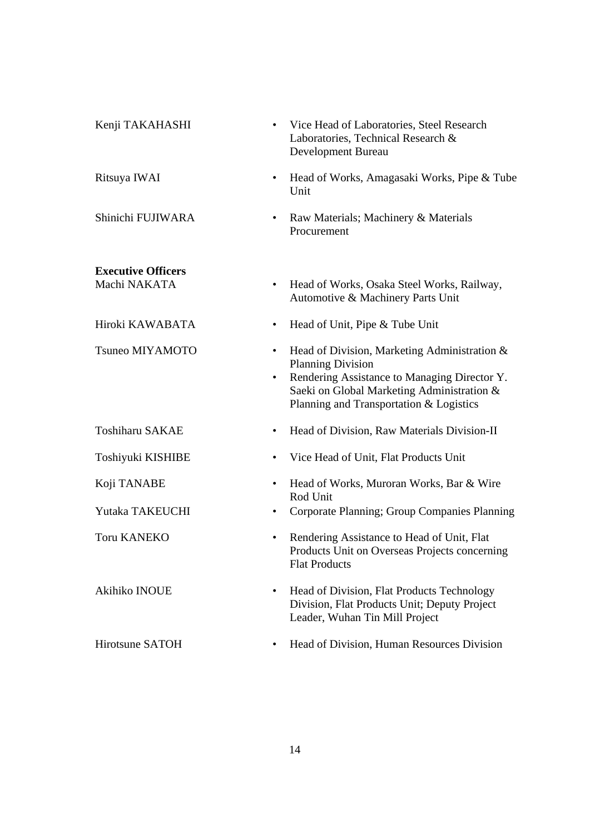| Kenji TAKAHASHI                           | Vice Head of Laboratories, Steel Research<br>Laboratories, Technical Research &<br>Development Bureau                                                                                                                                       |
|-------------------------------------------|---------------------------------------------------------------------------------------------------------------------------------------------------------------------------------------------------------------------------------------------|
| Ritsuya IWAI                              | Head of Works, Amagasaki Works, Pipe & Tube<br>Unit                                                                                                                                                                                         |
| Shinichi FUJIWARA                         | Raw Materials; Machinery & Materials<br>$\bullet$<br>Procurement                                                                                                                                                                            |
| <b>Executive Officers</b><br>Machi NAKATA | Head of Works, Osaka Steel Works, Railway,<br>Automotive & Machinery Parts Unit                                                                                                                                                             |
| Hiroki KAWABATA                           | Head of Unit, Pipe & Tube Unit<br>$\bullet$                                                                                                                                                                                                 |
| Tsuneo MIYAMOTO                           | Head of Division, Marketing Administration &<br>$\bullet$<br><b>Planning Division</b><br>Rendering Assistance to Managing Director Y.<br>$\bullet$<br>Saeki on Global Marketing Administration &<br>Planning and Transportation & Logistics |
| <b>Toshiharu SAKAE</b>                    | Head of Division, Raw Materials Division-II<br>٠                                                                                                                                                                                            |
| Toshiyuki KISHIBE                         | Vice Head of Unit, Flat Products Unit                                                                                                                                                                                                       |
| Koji TANABE                               | Head of Works, Muroran Works, Bar & Wire<br>Rod Unit                                                                                                                                                                                        |
| Yutaka TAKEUCHI                           | Corporate Planning; Group Companies Planning<br>٠                                                                                                                                                                                           |
| <b>Toru KANEKO</b>                        | Rendering Assistance to Head of Unit, Flat<br>$\bullet$<br>Products Unit on Overseas Projects concerning<br><b>Flat Products</b>                                                                                                            |
| Akihiko INOUE                             | Head of Division, Flat Products Technology<br>٠<br>Division, Flat Products Unit; Deputy Project<br>Leader, Wuhan Tin Mill Project                                                                                                           |
| Hirotsune SATOH                           | Head of Division, Human Resources Division                                                                                                                                                                                                  |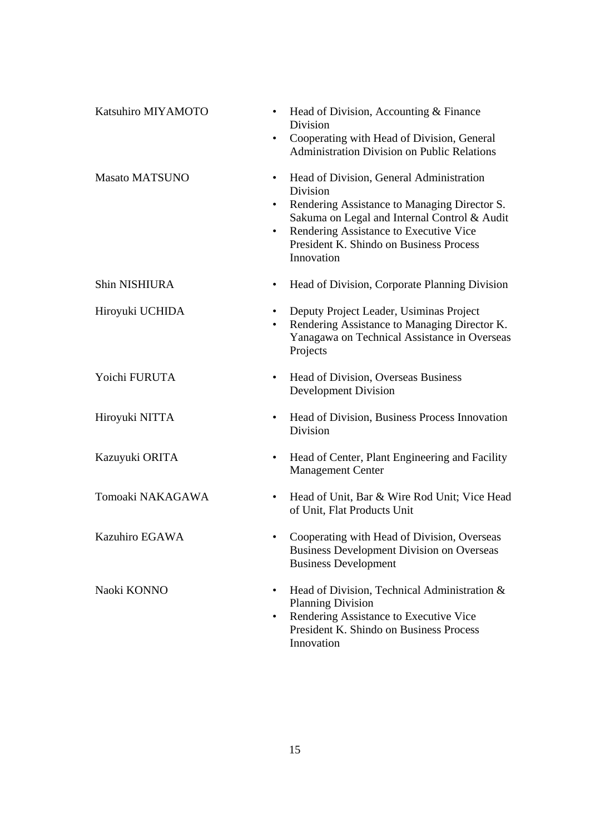| Katsuhiro MIYAMOTO    | Head of Division, Accounting & Finance<br>$\bullet$<br>Division<br>Cooperating with Head of Division, General<br>$\bullet$<br><b>Administration Division on Public Relations</b>                                                                                                               |
|-----------------------|------------------------------------------------------------------------------------------------------------------------------------------------------------------------------------------------------------------------------------------------------------------------------------------------|
| <b>Masato MATSUNO</b> | Head of Division, General Administration<br>$\bullet$<br>Division<br>Rendering Assistance to Managing Director S.<br>$\bullet$<br>Sakuma on Legal and Internal Control & Audit<br>Rendering Assistance to Executive Vice<br>$\bullet$<br>President K. Shindo on Business Process<br>Innovation |
| <b>Shin NISHIURA</b>  | Head of Division, Corporate Planning Division<br>$\bullet$                                                                                                                                                                                                                                     |
| Hiroyuki UCHIDA       | Deputy Project Leader, Usiminas Project<br>Rendering Assistance to Managing Director K.<br>Yanagawa on Technical Assistance in Overseas<br>Projects                                                                                                                                            |
| Yoichi FURUTA         | Head of Division, Overseas Business<br>$\bullet$<br><b>Development Division</b>                                                                                                                                                                                                                |
| Hiroyuki NITTA        | Head of Division, Business Process Innovation<br>$\bullet$<br>Division                                                                                                                                                                                                                         |
| Kazuyuki ORITA        | Head of Center, Plant Engineering and Facility<br>$\bullet$<br><b>Management Center</b>                                                                                                                                                                                                        |
| Tomoaki NAKAGAWA      | Head of Unit, Bar & Wire Rod Unit; Vice Head<br>٠<br>of Unit, Flat Products Unit                                                                                                                                                                                                               |
| Kazuhiro EGAWA        | Cooperating with Head of Division, Overseas<br><b>Business Development Division on Overseas</b><br><b>Business Development</b>                                                                                                                                                                 |
| Naoki KONNO           | Head of Division, Technical Administration &<br>$\bullet$<br><b>Planning Division</b><br>Rendering Assistance to Executive Vice<br>$\bullet$<br>President K. Shindo on Business Process<br>Innovation                                                                                          |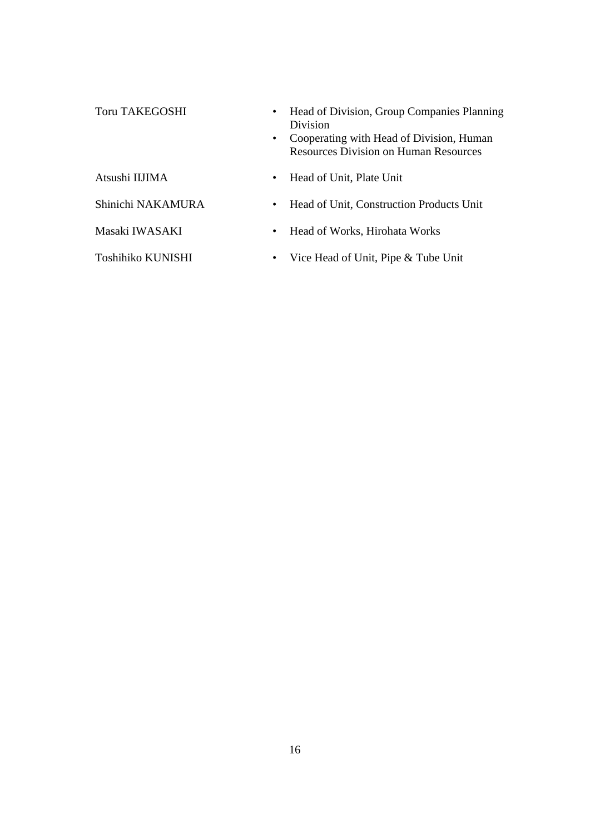- Toru TAKEGOSHI Head of Division, Group Companies Planning Division
	- Cooperating with Head of Division, Human Resources Division on Human Resources
- Atsushi IIJIMA Head of Unit, Plate Unit
- Shinichi NAKAMURA Head of Unit, Construction Products Unit
- Masaki IWASAKI Head of Works, Hirohata Works
- Toshihiko KUNISHI Vice Head of Unit, Pipe & Tube Unit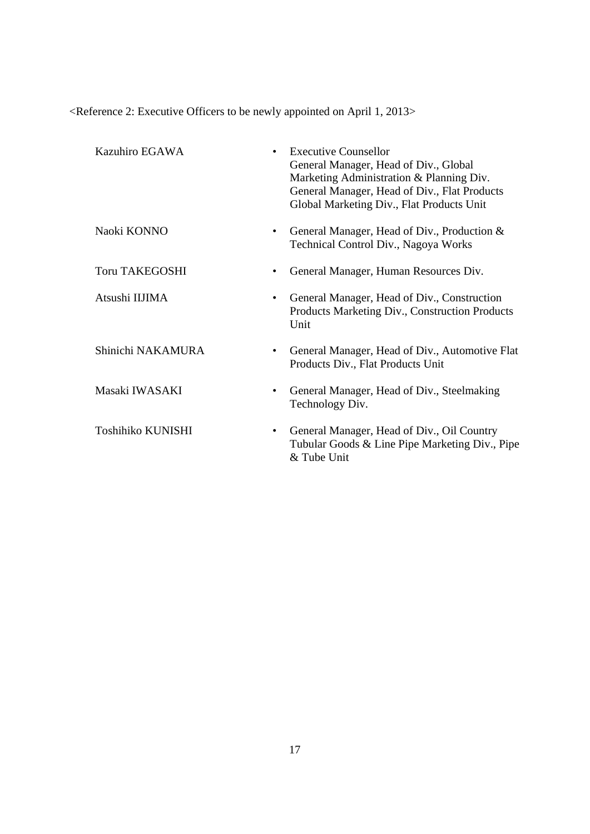<Reference 2: Executive Officers to be newly appointed on April 1, 2013>

| Kazuhiro EGAWA<br>$\bullet$ | <b>Executive Counsellor</b><br>General Manager, Head of Div., Global<br>Marketing Administration & Planning Div.<br>General Manager, Head of Div., Flat Products<br>Global Marketing Div., Flat Products Unit |
|-----------------------------|---------------------------------------------------------------------------------------------------------------------------------------------------------------------------------------------------------------|
| Naoki KONNO                 | General Manager, Head of Div., Production &<br>Technical Control Div., Nagoya Works                                                                                                                           |
| <b>Toru TAKEGOSHI</b>       | General Manager, Human Resources Div.                                                                                                                                                                         |
| Atsushi IIJIMA<br>٠         | General Manager, Head of Div., Construction<br>Products Marketing Div., Construction Products<br>Unit                                                                                                         |
| Shinichi NAKAMURA           | General Manager, Head of Div., Automotive Flat<br>Products Div., Flat Products Unit                                                                                                                           |
| Masaki IWASAKI<br>٠         | General Manager, Head of Div., Steelmaking<br>Technology Div.                                                                                                                                                 |
| Toshihiko KUNISHI<br>٠      | General Manager, Head of Div., Oil Country<br>Tubular Goods & Line Pipe Marketing Div., Pipe<br>& Tube Unit                                                                                                   |